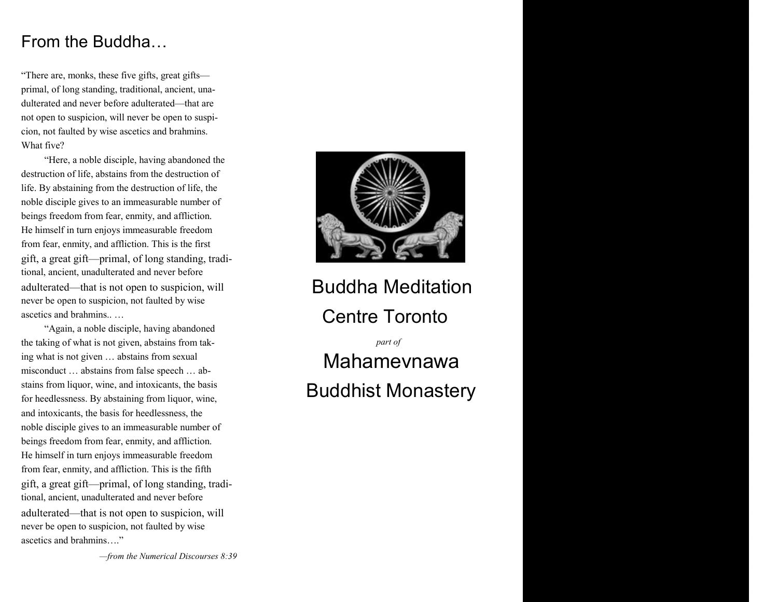## From the Buddha…

"There are, monks, these five gifts, great gifts primal, of long standing, traditional, ancient, unadulterated and never before adulterated—that are not open to suspicion, will never be open to suspicion, not faulted by wise ascetics and brahmins. What five?

"Here, a noble disciple, having abandoned the destruction of life, abstains from the destruction of life. By abstaining from the destruction of life, the noble disciple gives to an immeasurable number of beings freedom from fear, enmity, and affliction. He himself in turn enjoys immeasurable freedom from fear, enmity, and affliction. This is the first gift, a great gift—primal, of long standing, traditional, ancient, unadulterated and never before adulterated—that is not open to suspicion, will never be open to suspicion, not faulted by wise ascetics and brahmins.. …

"Again, a noble disciple, having abandoned the taking of what is not given, abstains from taking what is not given … abstains from sexual misconduct … abstains from false speech … abstains from liquor, wine, and intoxicants, the basis for heedlessness. By abstaining from liquor, wine, and intoxicants, the basis for heedlessness, the noble disciple gives to an immeasurable number of beings freedom from fear, enmity, and affliction. He himself in turn enjoys immeasurable freedom from fear, enmity, and affliction. This is the fifth gift, a great gift—primal, of long standing, traditional, ancient, unadulterated and never before adulterated—that is not open to suspicion, will never be open to suspicion, not faulted by wise ascetics and brahmins…."

*—from the Numerical Discourses 8:39*



Buddha Meditation Centre Toronto

*part of* Mahamevnawa Buddhist Monastery